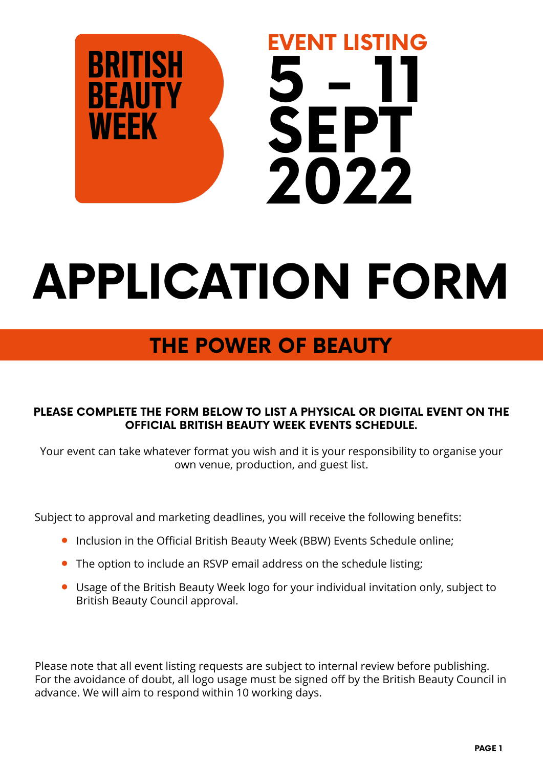

# **APPLICATION FORM**

# **THE POWER OF BEAUTY**

#### **PLEASE COMPLETE THE FORM BELOW TO LIST A PHYSICAL OR DIGITAL EVENT ON THE OFFICIAL BRITISH BEAUTY WEEK EVENTS SCHEDULE.**

Your event can take whatever format you wish and it is your responsibility to organise your own venue, production, and guest list.

Subject to approval and marketing deadlines, you will receive the following benefits:

- **•** Inclusion in the Official British Beauty Week (BBW) Events Schedule online;
- **•** The option to include an RSVP email address on the schedule listing;
- **•** Usage of the British Beauty Week logo for your individual invitation only, subject to British Beauty Council approval.

Please note that all event listing requests are subject to internal review before publishing. For the avoidance of doubt, all logo usage must be signed off by the British Beauty Council in advance. We will aim to respond within 10 working days.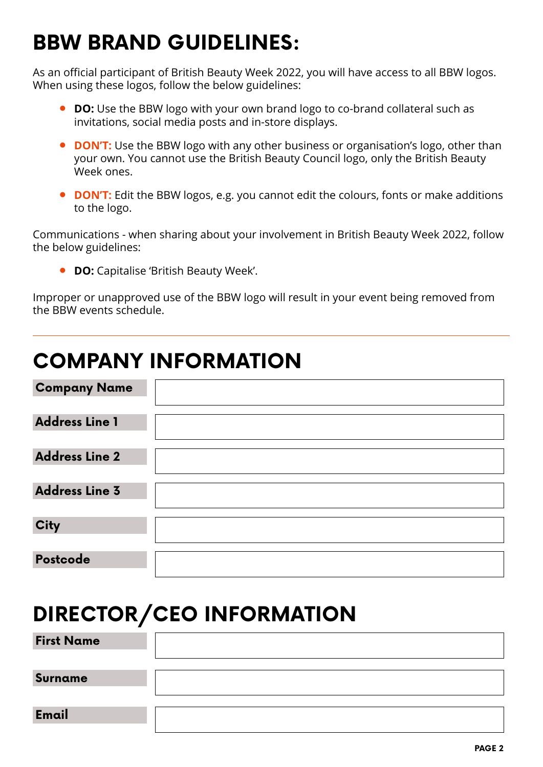## **BBW BRAND GUIDELINES:**

As an official participant of British Beauty Week 2022, you will have access to all BBW logos. When using these logos, follow the below guidelines:

- **• DO:** Use the BBW logo with your own brand logo to co-brand collateral such as invitations, social media posts and in-store displays.
- **• DON'T:** Use the BBW logo with any other business or organisation's logo, other than your own. You cannot use the British Beauty Council logo, only the British Beauty Week ones.
- **• DON'T:** Edit the BBW logos, e.g. you cannot edit the colours, fonts or make additions to the logo.

Communications - when sharing about your involvement in British Beauty Week 2022, follow the below guidelines:

**• DO:** Capitalise 'British Beauty Week'.

Improper or unapproved use of the BBW logo will result in your event being removed from the BBW events schedule.

### **COMPANY INFORMATION**

| <b>Company Name</b>   |  |
|-----------------------|--|
| <b>Address Line 1</b> |  |
| <b>Address Line 2</b> |  |
| <b>Address Line 3</b> |  |
| <b>City</b>           |  |
| Postcode              |  |

# **DIRECTOR/CEO INFORMATION**

**First Name**

**Surname**

**Email**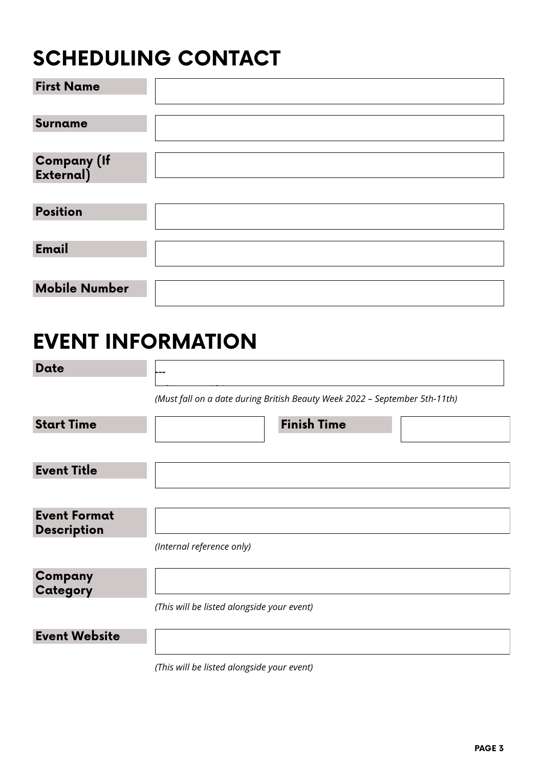# **SCHEDULING CONTACT**

| <b>First Name</b>        |  |
|--------------------------|--|
|                          |  |
| Surname                  |  |
|                          |  |
| Company (If<br>External) |  |
|                          |  |
| <b>Position</b>          |  |
|                          |  |
| Email                    |  |
|                          |  |
| <b>Mobile Number</b>     |  |

### **EVENT INFORMATION**

| Date                                      |                                                                            |
|-------------------------------------------|----------------------------------------------------------------------------|
|                                           | (Must fall on a date during British Beauty Week 2022 - September 5th-11th) |
| <b>Start Time</b>                         | <b>Finish Time</b>                                                         |
|                                           |                                                                            |
| <b>Event Title</b>                        |                                                                            |
|                                           |                                                                            |
| <b>Event Format</b><br><b>Description</b> |                                                                            |
|                                           | (Internal reference only)                                                  |
| Company<br>Category                       |                                                                            |
|                                           | (This will be listed alongside your event)                                 |
| <b>Event Website</b>                      |                                                                            |
|                                           | (This will be listed alongside your event)                                 |